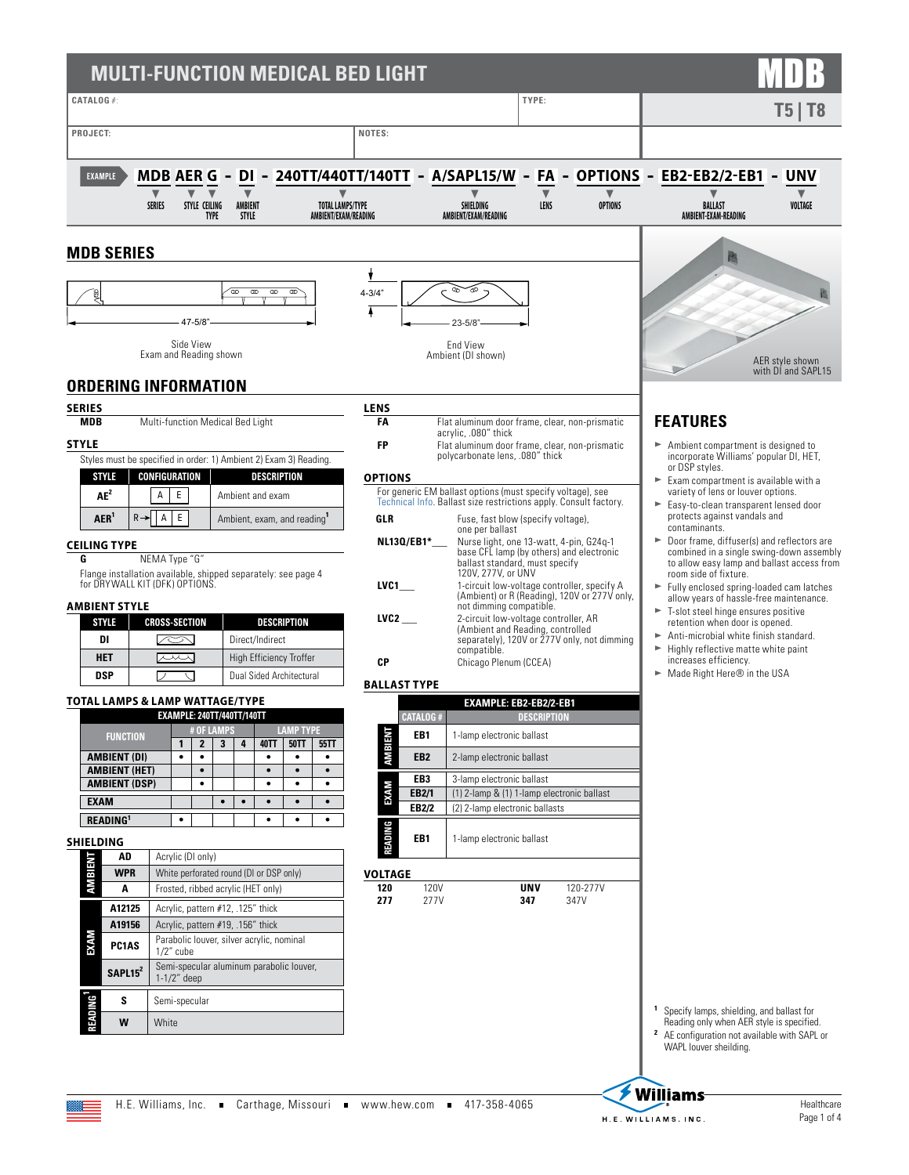### **MULTI-FUNCTION MEDICAL BED LIGHT CATALOG** #: **TYPE: T5 | T8** PROJECT: NOTES: **EXAMPLE MDB AER G - DI - 240TT/440TT/140TT - A/SAPL15/W - FA - OPTIONS - EB2-EB2/2-EB1 - UNV** t t t t t t t t t t **SERIES STYLE CEILING AMBIENT TOTAL LAMPS/TYPE SHIELDING LENS OPTIONS BALLAST VOLTAGE TYPE STYLE AMBIENT/EXAM/READING AMBIENT/EXAM/READING AMBIENT-EXAM-READINGMDB SERIES** 画 ł  $\begin{matrix} \mathbb{R} \ \mathbb{R} \end{matrix}$ ☎  $\overline{\infty}$  $\overline{\infty}$ ক্ত 4-3/4" 47-5/8" 23-5/8" Side View End View Exam and Reading shown Ambient (DI shown) AER style shown with DI and SAPL15 **ORDERING INFORMATION SERIES LENS FEATURES MDB** Multi-function Medical Bed Light **FA** Flat aluminum door frame, clear, non-prismatic acrylic, .080" thick **STYLE FP** Flat aluminum door frame, clear, non-prismatic Ambient compartment is designed to polycarbonate lens, .080" thick incorporate Williams' popular DI, HET, Styles must be specified in order: 1) Ambient 2) Exam 3) Reading. or DSP styles. **STYLE CONFIGURATION DESCRIPTION OPTIONS** Exam compartment is available with a For generic EM ballast options (must specify voltage), see variety of lens or louver options. **AE<sup>2</sup>** A E Ambient and exam [Technical Info.](https://www.hew.com/specifications/70324.pdf) Ballast size restrictions apply. Consult factory. Easy-to-clean transparent lensed door  $AER^1$   $R \rightarrow A E$   $\overline{E}$  Ambient, exam, and reading<sup>1</sup> protects against vandals and **GLR** Fuse, fast blow (specify voltage), one per ballast contaminants. Door frame, diffuser(s) and reflectors are **NL13Q/EB1\*\_\_\_** Nurse light, one 13-watt, 4-pin, G24q-1 **CEILING TYPE** base CFL lamp (by others) and electronic combined in a single swing-down assembly **G** NEMA Type "G" to allow easy lamp and ballast access from ballast standard, must specify 120V, 277V, or UNV Flange installation available, shipped separately: see page 4 room side of fixture. for DRYWALL KIT (DFK) OPTIONS. **LVC1\_\_\_** 1-circuit low-voltage controller, specify A (Ambient) or R (Reading), 120V or 277V only, Fully enclosed spring-loaded cam latches allow years of hassle-free maintenance. **AMBIENT STYLE** not dimming compatible. T-slot steel hinge ensures positive **LVC2 \_\_\_** 2-circuit low-voltage controller, AR **STYLE CROSS-SECTION DESCRIPTION** retention when door is opened. (Ambient and Reading, controlled separately), 120V or 277V only, not dimming Anti-microbial white finish standard. **DI Direct/Indirect** compatible. Highly reflective matte white paint **HET**  $\overline{\phantom{a}}$  High Efficiency Troffer **CP** Chicago Plenum (CCEA) increases efficiency. Made Right Here® in the USA **DSP**  $\overline{\smash{\bigcup_{\text{}}\quadcup_{\text{}}\subset_{\text{}}}}$  Dual Sided Architectural **BALLAST TYPE TOTAL LAMPS & LAMP WATTAGE/TYPE EXAMPLE: EB2-EB2/2-EB1 EXAMPLE: 240TT/440TT/140TT CATALOG # DESCRIPTION FUNCTION # OF LAMPS LAMP TYPE 1 2 3 4 40TT 50TT 55TT AMBIENT EB1** | 1-lamp electronic ballast **AMBIENT (DI) • • • • • EB2** 2-lamp electronic ballast **AMBIENT (HET) • • • • EB3** 3-lamp electronic ballast **AMBIENT (DSP) • • • • EXAM EB2/1** (1) 2-lamp & (1) 1-lamp electronic ballast **EXAM • • • • • EB2/2** (2) 2-lamp electronic ballasts **READING<sup>1</sup> • • • • READING EB1** 1-lamp electronic ballast **SHIELDING AD** Acrylic (DI only) **AMBIENT** Z **WPR** White perforated round (DI or DSP only) **VOLTAGE A** Frosted, ribbed acrylic (HET only) **120** 120V<br>**277** 277 **UNV** 120-277V<br>**347** 347V **277** 277V **347** 347V **A12125** Acrylic, pattern #12, .125" thick **A19156** Acrylic, pattern #19, .156" thick **EXAM PC1AS** Parabolic louver, silver acrylic, nominal

- **<sup>1</sup>** Specify lamps, shielding, and ballast for
- Reading only when AER style is specified. **<sup>2</sup>** AE configuration not available with SAPL or WAPL louver sheilding.

1/2" cube

1-1/2" deep

**S** Semi-specular **W** White

**READING1**

**SAPL15<sup>2</sup>** Semi-specular aluminum parabolic louver,

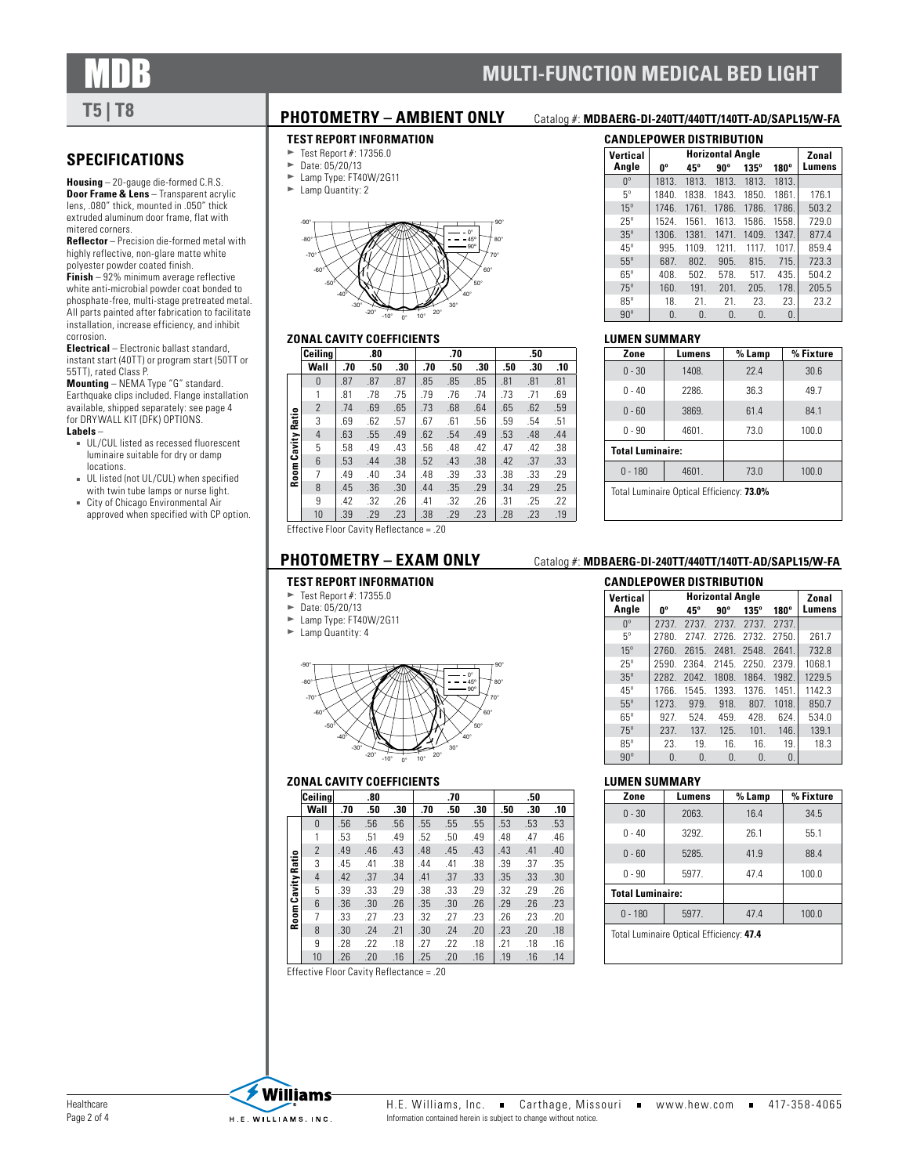

### **SPECIFICATIONS**

**Housing** – 20-gauge die-formed C.R.S. **Door Frame & Lens** - Transparent acrylic lens, .080" thick, mounted in .050" thick extruded aluminum door frame, flat with mitered corners.

**Reflector** – Precision die-formed metal with highly reflective, non-glare matte white polyester powder coated finish.

**Finish** – 92% minimum average reflective white anti-microbial powder coat bonded to phosphate-free, multi-stage pretreated metal. All parts painted after fabrication to facilitate installation, increase efficiency, and inhibit corrosion.

**Electrical** – Electronic ballast standard, instant start (40TT) or program start (50TT or 55TT), rated Class P.

**Mounting** – NEMA Type "G" standard. Earthquake clips included. Flange installation available, shipped separately: [see page 4](#page-3-0) [for DRYWALL KIT \(DFK\) OPTIONS](#page-3-0).

### **Labels** –

- UL/CUL listed as recessed fluorescent luminaire suitable for dry or damp locations.
- UL listed (not UL/CUL) when specified with twin tube lamps or nurse light.
- City of Chicago Environmental Air approved when specified with CP option.

### **TEST REPORT INFORMATION**

- Test Report #: 17356.0<br>
Date: 05/20/13
- Date: 05/20/13
- $\blacktriangleright$  Lamp Type: FT40W/2G11
- $\blacktriangleright$  Lamp Quantity: 2



### **ZONAL CAVITY COEFFICIENTS**

|        | Ceilina                                    |     | .80 |     |     | .70 |     |     | .50 |     |
|--------|--------------------------------------------|-----|-----|-----|-----|-----|-----|-----|-----|-----|
|        | Wall                                       | .70 | .50 | .30 | .70 | .50 | .30 | .50 | .30 | .10 |
|        | $\Omega$                                   | .87 | .87 | .87 | .85 | .85 | .85 | .81 | .81 | .81 |
|        | 1                                          | .81 | .78 | .75 | .79 | .76 | .74 | .73 | .71 | .69 |
|        | $\overline{2}$                             | .74 | .69 | .65 | .73 | .68 | .64 | .65 | .62 | .59 |
| Ratio  | 3                                          | .69 | .62 | .57 | .67 | .61 | .56 | .59 | .54 | .51 |
|        | 4                                          | .63 | .55 | .49 | .62 | .54 | .49 | .53 | .48 | .44 |
| Cavity | 5                                          | .58 | .49 | .43 | .56 | .48 | .42 | .47 | .42 | .38 |
|        | 6                                          | .53 | .44 | .38 | .52 | .43 | .38 | .42 | .37 | .33 |
| Room   | $\overline{7}$                             | .49 | .40 | .34 | .48 | .39 | .33 | .38 | .33 | .29 |
|        | 8                                          | .45 | .36 | .30 | .44 | .35 | .29 | .34 | .29 | .25 |
|        | 9                                          | .42 | .32 | .26 | .41 | .32 | .26 | .31 | .25 | .22 |
|        | 10                                         | .39 | .29 | .23 | .38 | .29 | .23 | .28 | .23 | .19 |
|        | Effective Floor Cavity Reflectance = $.20$ |     |     |     |     |     |     |     |     |     |

### **TEST REPORT INFORMATION**

- $\blacktriangleright$  Test Report #: 17355.0
- $\blacktriangleright$  Date: 05/20/13<br> $\blacktriangleright$  Lamp Type: FT40
- Lamp Type: FT40W/2G11  $\blacktriangleright$  Lamp Quantity: 4



### **ZONAL CAVITY COEFFICIENTS**

|              | Ceiling        |     | .80 |     |     | .70 |     |     | .50 |     |
|--------------|----------------|-----|-----|-----|-----|-----|-----|-----|-----|-----|
|              | Wall           | .70 | .50 | .30 | .70 | .50 | .30 | .50 | .30 | .10 |
|              | $\Omega$       | .56 | .56 | .56 | .55 | .55 | .55 | .53 | .53 | .53 |
|              | 1              | .53 | .51 | .49 | .52 | .50 | .49 | .48 | .47 | .46 |
|              | $\mathfrak{p}$ | .49 | .46 | .43 | .48 | .45 | .43 | .43 | .41 | .40 |
| Cavity Ratio | 3              | .45 | .41 | .38 | .44 | .41 | .38 | .39 | .37 | .35 |
|              | 4              | .42 | .37 | .34 | .41 | .37 | .33 | .35 | .33 | .30 |
|              | 5              | .39 | .33 | .29 | .38 | .33 | .29 | .32 | .29 | .26 |
|              | 6              | .36 | .30 | .26 | .35 | .30 | .26 | .29 | .26 | .23 |
| Room /       | 7              | .33 | .27 | .23 | .32 | .27 | .23 | .26 | .23 | .20 |
|              | 8              | .30 | .24 | .21 | .30 | .24 | .20 | .23 | .20 | .18 |
|              | 9              | .28 | .22 | .18 | .27 | .22 | .18 | .21 | .18 | .16 |
|              | 10             | .26 | .20 | .16 | .25 | .20 | .16 | .19 | .16 | .14 |

### **PHOTOMETRY – AMBIENT ONLY** Catalog #: **MDBAERG-DI-240TT/440TT/140TT-AD/SAPL15/W-FA**

**MULTI-FUNCTION MEDICAL BED LIGHT** 

### **CANDLEPOWER DISTRIBUTION**

| Vertical        |                | <b>Horizontal Angle</b> |       |                |             |        |  |  |
|-----------------|----------------|-------------------------|-------|----------------|-------------|--------|--|--|
| Angle           | U <sub>o</sub> | 45°                     | 90°   | $135^\circ$    | $180^\circ$ | Lumens |  |  |
| $\mathsf{U}_0$  | 1813.          | 1813.                   | 1813. | 1813.          | 1813.       |        |  |  |
| $5^{\circ}$     | 1840.          | 1838.                   | 1843. | 1850.          | 1861.       | 176.1  |  |  |
| 15 <sup>o</sup> | 1746.          | 1761.                   | 1786. | 1786.          | 1786.       | 503.2  |  |  |
| $25^\circ$      | 1524.          | 1561.                   | 1613. | 1586.          | 1558.       | 729.0  |  |  |
| $35^\circ$      | 1306.          | 1381.                   | 1471. | 1409.          | 1347.       | 877.4  |  |  |
| $45^\circ$      | 995.           | 1109.                   | 1211. | 1117.          | 1017.       | 859.4  |  |  |
| $55^\circ$      | 687.           | 802.                    | 905.  | 815.           | 715.        | 723.3  |  |  |
| $65^\circ$      | 408.           | 502.                    | 578.  | 517.           | 435.        | 504.2  |  |  |
| $75^\circ$      | 160.           | 191.                    | 201.  | 205.           | 178.        | 205.5  |  |  |
| $85^\circ$      | 18.            | 21.                     | 21.   | 23.            | 23.         | 23.2   |  |  |
| $90^\circ$      | 0.             | $\mathbf{0}$ .          | 0.    | $\mathbf{0}$ . | 0.          |        |  |  |

### **LUMEN SUMMARY**

| Zone                                      | Lumens | % Lamp | % Fixture |  |  |  |
|-------------------------------------------|--------|--------|-----------|--|--|--|
| $0 - 30$                                  | 1408.  | 77.4   | 30.6      |  |  |  |
| $0 - 40$                                  | 2286.  | 36.3   | 49.7      |  |  |  |
| $0 - 60$                                  | 3869.  | 61.4   | 84.1      |  |  |  |
| $0 - 90$                                  | 4601.  | 73.0   | 100.0     |  |  |  |
| <b>Total Luminaire:</b>                   |        |        |           |  |  |  |
| $0 - 180$<br>100.0<br>4601.<br>73.0       |        |        |           |  |  |  |
| Total Luminaire Optical Efficiency: 73.0% |        |        |           |  |  |  |

### **PHOTOMETRY – EXAM ONLY** Catalog #: **MDBAERG-DI-240TT/440TT/140TT-AD/SAPL15/W-FA**

### **CANDLEPOWER DISTRIBUTION**

| Vertical        |                | Zonal          |                |              |             |        |
|-----------------|----------------|----------------|----------------|--------------|-------------|--------|
| Angle           | U.             | 45°            | 90°            | $135^\circ$  | $180^\circ$ | Lumens |
| $0^{\circ}$     | 2737.          | 2737.          | 2737.          | 2737.        | 2737.       |        |
| $5^\circ$       | 2780.          | 2747.          | 2726.          | 2732.        | 2750.       | 261.7  |
| 15 <sup>o</sup> | 2760.          | 2615.          | 2481.          | 2548.        | 2641.       | 732.8  |
| $25^\circ$      | 2590.          | 2364.          | 2145.          | 2250.        | 2379.       | 1068.1 |
| $35^\circ$      | 2282.          | 2042.          | 1808.          | 1864.        | 1982.       | 1229.5 |
| $45^\circ$      | 1766.          | 1545.          | 1393.          | 1376.        | 1451.       | 1142.3 |
| $55^\circ$      | 1273.          | 979.           | 918.           | 807.         | 1018.       | 850.7  |
| $65^\circ$      | 927.           | 524.           | 459.           | 428.         | 624.        | 534.0  |
| $75^\circ$      | 237.           | 137.           | 125.           | 101.         | 146.        | 139.1  |
| $85^\circ$      | 23.            | 19.            | 16.            | 16.          | 19.         | 18.3   |
| $90^\circ$      | $\mathbf{0}$ . | $\mathbf{0}$ . | $\mathbf{0}$ . | $\mathbf{0}$ | 0.          |        |

### **LUMEN SUMMARY**

| Zone                                     | Lumens | % Lamp | % Fixture |  |  |  |
|------------------------------------------|--------|--------|-----------|--|--|--|
| $0 - 30$                                 | 2063.  | 16.4   | 34.5      |  |  |  |
| $0 - 40$                                 | 3292.  | 26.1   | 55.1      |  |  |  |
| $0 - 60$                                 | 5285.  | 41.9   | 88.4      |  |  |  |
| $0 - 90$                                 | 5977.  | 47.4   | 100.0     |  |  |  |
| <b>Total Luminaire:</b>                  |        |        |           |  |  |  |
| $0 - 180$                                | 47.4   | 100.0  |           |  |  |  |
| Total Luminaire Optical Efficiency: 47.4 |        |        |           |  |  |  |

Effective Floor Cavity Reflectance = .20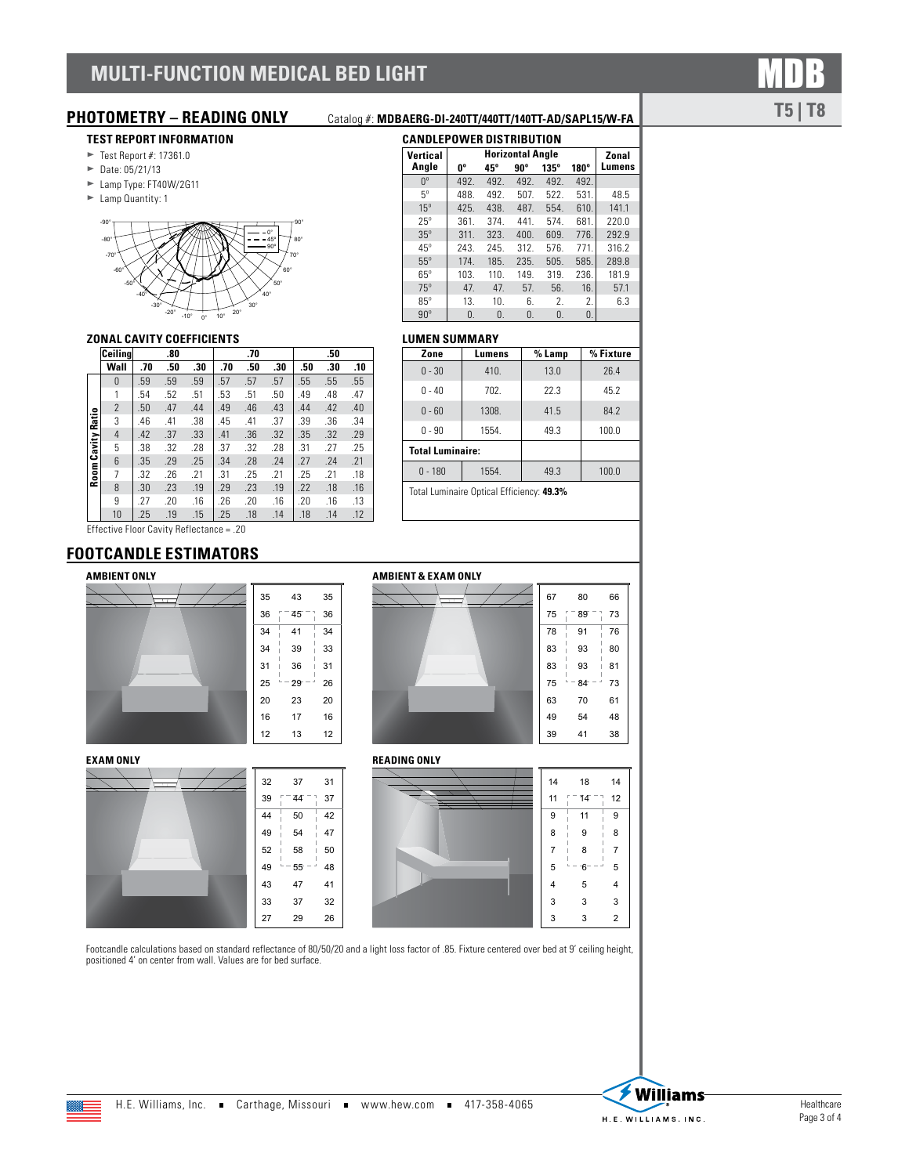# **MULTI-FUNCTION MEDICAL BED LIGHT**

### **TEST REPORT INFORMATION**

- $\blacktriangleright$  Test Report #: 17361.0
- $\blacktriangleright$  Date: 05/21/13
- $\blacktriangleright$  Lamp Type: FT40W/2G11
- Eamp Quantity: 1



### **ZONAL CAVITY COEFFICIENTS**

|          | Ceiling        |     | .80 |     |     | .70 |     |     | .50 |     |
|----------|----------------|-----|-----|-----|-----|-----|-----|-----|-----|-----|
|          | Wall           | .70 | .50 | .30 | .70 | .50 | .30 | .50 | .30 | .10 |
|          | 0              | .59 | .59 | .59 | .57 | .57 | .57 | .55 | .55 | .55 |
|          | 1              | .54 | .52 | .51 | .53 | .51 | .50 | .49 | .48 | .47 |
|          | $\overline{2}$ | .50 | .47 | .44 | .49 | .46 | .43 | .44 | .42 | .40 |
| Ratio    | 3              | .46 | .41 | .38 | .45 | .41 | .37 | .39 | .36 | .34 |
|          | $\overline{4}$ | .42 | .37 | .33 | .41 | .36 | .32 | .35 | .32 | .29 |
| Cavity I | 5              | .38 | .32 | .28 | .37 | .32 | .28 | .31 | .27 | .25 |
|          | 6              | .35 | .29 | .25 | .34 | .28 | .24 | .27 | .24 | .21 |
| Room     | 7              | .32 | .26 | .21 | .31 | .25 | .21 | .25 | .21 | .18 |
|          | 8              | .30 | .23 | .19 | .29 | .23 | .19 | .22 | .18 | .16 |
|          | 9              | .27 | .20 | .16 | .26 | .20 | .16 | .20 | .16 | .13 |
|          | 10             | .25 | .19 | .15 | .25 | .18 | .14 | .18 | .14 | .12 |

Effective Floor Cavity Reflectance = .20

### **FOOTCANDLE ESTIMATORS**

### **AMBIENT ONLY**



### **EXAM ONLY**



# **AMBIENT & EXAM ONLY**



**READING ONLY**



Footcandle calculations based on standard reflectance of 80/50/20 and a light loss factor of .85. Fixture centered over bed at 9' ceiling height, positioned 4' on center from wall. Values are for bed surface.

# **Angle**

| Vertical         |      | Zonal |      |                |      |        |  |
|------------------|------|-------|------|----------------|------|--------|--|
| Angle            | 0°   | 45°   | 90°  | $135^\circ$    | 180° | Lumens |  |
| $0^{\circ}$      | 492. | 492.  | 492. | 492.           | 492. |        |  |
| $5^{\circ}$      | 488. | 492.  | 507. | 522.           | 531. | 48.5   |  |
| $15^\circ$       | 425. | 438.  | 487. | 554.           | 610. | 141.1  |  |
| $25^\circ$       | 361. | 374.  | 441. | 574.           | 681. | 770.0  |  |
| $35^\circ$       | 311. | 323.  | 400. | 609.           | 776. | 292.9  |  |
| $45^\circ$       | 243. | 245.  | 312. | 576.           | 771. | 316.2  |  |
| $55^\circ$       | 174. | 185.  | 235. | 505.           | 585. | 289.8  |  |
| $65^\circ$       | 103. | 110.  | 149. | 319.           | 236. | 181.9  |  |
| $75^\circ$       | 47.  | 47.   | 57.  | 56.            | 16.  | 57.1   |  |
| $85^\circ$       | 13.  | 10.   | 6.   | $\mathfrak{D}$ | 2.   | 6.3    |  |
| $90^\circ$       | 0.   | 0.    | 0.   | 0.             | 0.   |        |  |
| I IIMEN CIIMMADV |      |       |      |                |      |        |  |

### **LUMEN SUMMARY**

| Zone                                      | Lumens | % Lamp | % Fixture |  |  |  |  |  |  |
|-------------------------------------------|--------|--------|-----------|--|--|--|--|--|--|
| $0 - 30$                                  | 410.   | 13.0   | 26.4      |  |  |  |  |  |  |
| $0 - 40$                                  | 702.   | 22.3   | 45.2      |  |  |  |  |  |  |
| 1308.<br>$0 - 60$                         |        | 41.5   | 84.2      |  |  |  |  |  |  |
| $0 - 90$                                  | 1554.  | 49.3   | 100.0     |  |  |  |  |  |  |
| <b>Total Luminaire:</b>                   |        |        |           |  |  |  |  |  |  |
| $0 - 180$                                 | 1554.  | 49.3   | 100.0     |  |  |  |  |  |  |
| Total Luminaire Optical Efficiency: 49.3% |        |        |           |  |  |  |  |  |  |

### **PHOTOMETRY – READING ONLY** Catalog #: **MDBAERG-DI-240TT/440TT/140TT-AD/SAPL15/W-FA CANDLEPOWER DISTRIBUTION**

**T5 | T8**